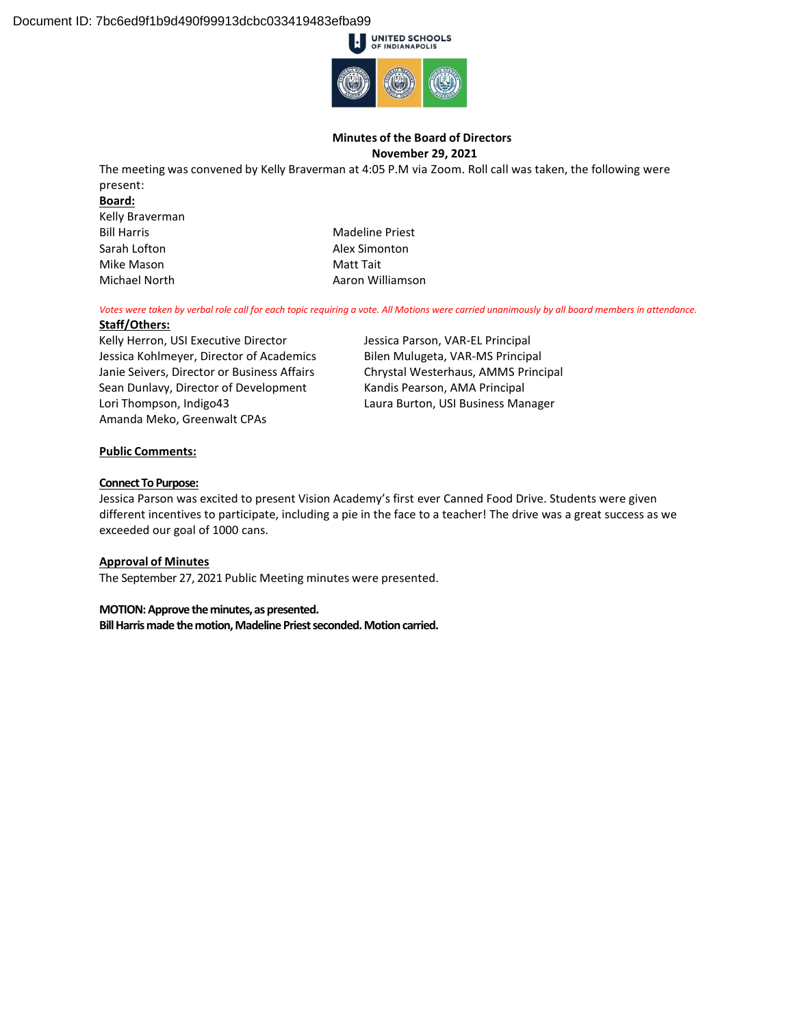

#### **Minutes of the Board of Directors November 29, 2021**

The meeting was convened by Kelly Braverman at 4:05 P.M via Zoom. Roll call was taken, the following were present:

#### **Board:**

Kelly Braverman Sarah Lofton **Alex Simonton** Mike Mason **Matt Tait** 

Bill Harris **Madeline Priest** Madeline Priest Michael North **Aaron Williamson** 

*Votes were taken by verbal role call for each topic requiring a vote. All Motions were carried unanimously by all board members in attendance.*

#### **Staff/Others:**

Kelly Herron, USI Executive Director Jessica Kohlmeyer, Director of Academics Janie Seivers, Director or Business Affairs Sean Dunlavy, Director of Development Lori Thompson, Indigo43 Amanda Meko, Greenwalt CPAs

Jessica Parson, VAR-EL Principal Bilen Mulugeta, VAR-MS Principal Chrystal Westerhaus, AMMS Principal Kandis Pearson, AMA Principal Laura Burton, USI Business Manager

# **Public Comments:**

#### **Connect To Purpose:**

Jessica Parson was excited to present Vision Academy's first ever Canned Food Drive. Students were given different incentives to participate, including a pie in the face to a teacher! The drive was a great success as we exceeded our goal of 1000 cans.

#### **Approval of Minutes**

The September 27, 2021 Public Meeting minutes were presented.

**MOTION: Approve the minutes, as presented. Bill Harris made the motion, Madeline Priest seconded. Motion carried.**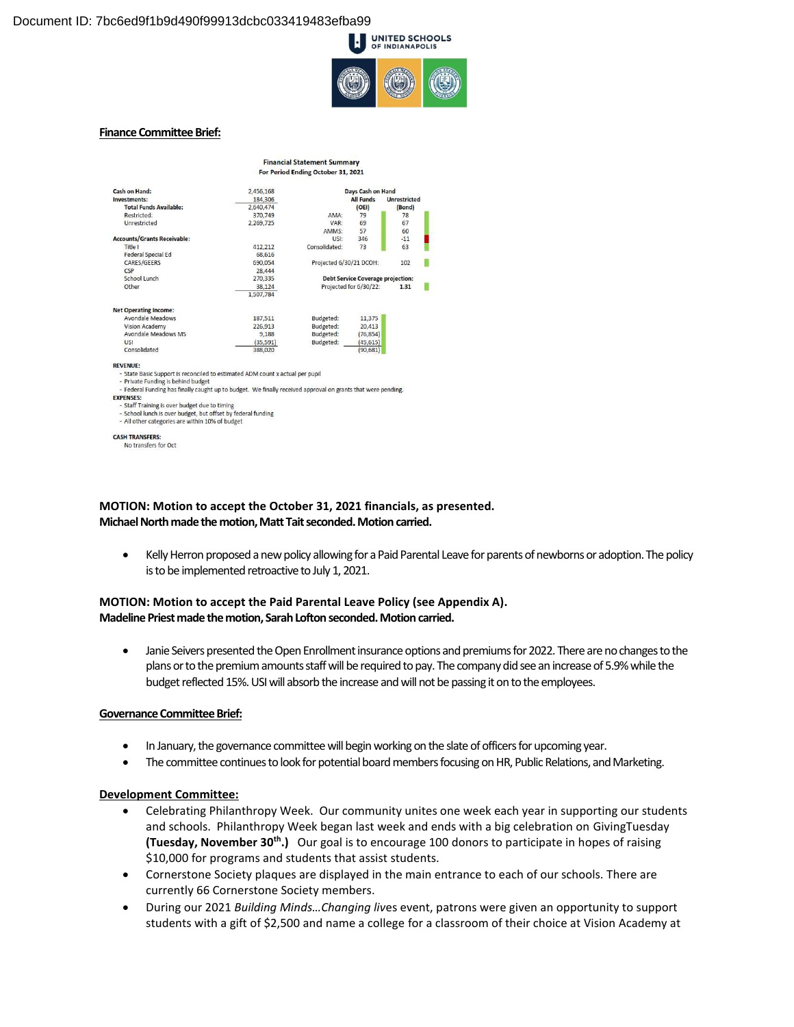

#### **Finance Committee Brief:**

**CASH TRANSFERS:** No transfers for Oct

| <b>Financial Statement Summary</b>              |                                                                                                               |                                                                               |                                                                                                                                  |  |  |  |
|-------------------------------------------------|---------------------------------------------------------------------------------------------------------------|-------------------------------------------------------------------------------|----------------------------------------------------------------------------------------------------------------------------------|--|--|--|
| For Period Ending October 31, 2021              |                                                                                                               |                                                                               |                                                                                                                                  |  |  |  |
| 2,456,168                                       | Days Cash on Hand                                                                                             |                                                                               |                                                                                                                                  |  |  |  |
| 184,306                                         |                                                                                                               | <b>Unrestricted</b>                                                           |                                                                                                                                  |  |  |  |
| 2.640.474                                       |                                                                                                               | (OEI)                                                                         | (Bond)                                                                                                                           |  |  |  |
| 370,749                                         | AMA:                                                                                                          | 79                                                                            | 78                                                                                                                               |  |  |  |
| 2,269,725                                       | VAR:                                                                                                          | 69                                                                            | 67                                                                                                                               |  |  |  |
|                                                 | AMMS:                                                                                                         | 57                                                                            | 60                                                                                                                               |  |  |  |
|                                                 | USI:                                                                                                          | 346                                                                           | $-11$                                                                                                                            |  |  |  |
| 412,212                                         | Consolidated:                                                                                                 | 73                                                                            | 63                                                                                                                               |  |  |  |
| 68.616                                          |                                                                                                               |                                                                               |                                                                                                                                  |  |  |  |
| 690.054                                         | Projected 6/30/21 DCOH:                                                                                       |                                                                               | 102                                                                                                                              |  |  |  |
| 28,444                                          |                                                                                                               |                                                                               |                                                                                                                                  |  |  |  |
| 270,335                                         | <b>Debt Service Coverage projection:</b>                                                                      |                                                                               |                                                                                                                                  |  |  |  |
| 38.124                                          | Projected for 6/30/22:<br>1.31                                                                                |                                                                               |                                                                                                                                  |  |  |  |
| 1,507,784                                       |                                                                                                               |                                                                               |                                                                                                                                  |  |  |  |
|                                                 |                                                                                                               |                                                                               |                                                                                                                                  |  |  |  |
| 187,511                                         | Budgeted:                                                                                                     | 11.375                                                                        |                                                                                                                                  |  |  |  |
| 226,913                                         | Budgeted:                                                                                                     | 20,413                                                                        |                                                                                                                                  |  |  |  |
| 9,188                                           | Budgeted:                                                                                                     | (76, 854)                                                                     |                                                                                                                                  |  |  |  |
| (35, 591)                                       | Budgeted:                                                                                                     | (45, 615)                                                                     |                                                                                                                                  |  |  |  |
| 388,020                                         |                                                                                                               | (90.681)                                                                      |                                                                                                                                  |  |  |  |
|                                                 |                                                                                                               |                                                                               |                                                                                                                                  |  |  |  |
|                                                 |                                                                                                               |                                                                               |                                                                                                                                  |  |  |  |
|                                                 |                                                                                                               |                                                                               |                                                                                                                                  |  |  |  |
|                                                 |                                                                                                               |                                                                               |                                                                                                                                  |  |  |  |
|                                                 |                                                                                                               |                                                                               |                                                                                                                                  |  |  |  |
|                                                 |                                                                                                               |                                                                               |                                                                                                                                  |  |  |  |
|                                                 |                                                                                                               |                                                                               |                                                                                                                                  |  |  |  |
| - All other categories are within 10% of budget |                                                                                                               |                                                                               |                                                                                                                                  |  |  |  |
|                                                 | - Staff Training is over budget due to timing<br>- School lunch is over budget, but offset by federal funding | - State Basic Support is reconciled to estimated ADM count x actual per pupil | <b>All Funds</b><br>- Federal Funding has finally caught up to budget. We finally received approval on grants that were pending. |  |  |  |

**MOTION: Motion to accept the October 31, 2021 financials, as presented. Michael North made the motion, Matt Tait seconded. Motion carried.** 

• Kelly Herron proposed a new policy allowing for a Paid Parental Leave for parents of newborns or adoption. The policy is to be implemented retroactive to July 1, 2021.

# **MOTION: Motion to accept the Paid Parental Leave Policy (see Appendix A). Madeline Priest made the motion, Sarah Lofton seconded. Motion carried.**

• Janie Seivers presented the Open Enrollment insurance options and premiums for 2022. There are no changes to the plans or to the premium amounts staff will be required to pay. The company did see an increase of 5.9% while the budget reflected 15%. USI will absorb the increase and will not be passing it on to the employees.

#### **Governance Committee Brief:**

- In January, the governance committee will begin working on the slate of officers for upcoming year.
- The committee continues to look for potential board members focusing on HR, Public Relations, and Marketing.

#### **Development Committee:**

- Celebrating Philanthropy Week. Our community unites one week each year in supporting our students and schools. Philanthropy Week began last week and ends with a big celebration on GivingTuesday **(Tuesday, November 30th.)** Our goal is to encourage 100 donors to participate in hopes of raising \$10,000 for programs and students that assist students.
- Cornerstone Society plaques are displayed in the main entrance to each of our schools. There are currently 66 Cornerstone Society members.
- During our 2021 *Building Minds…Changing liv*es event, patrons were given an opportunity to support students with a gift of \$2,500 and name a college for a classroom of their choice at Vision Academy at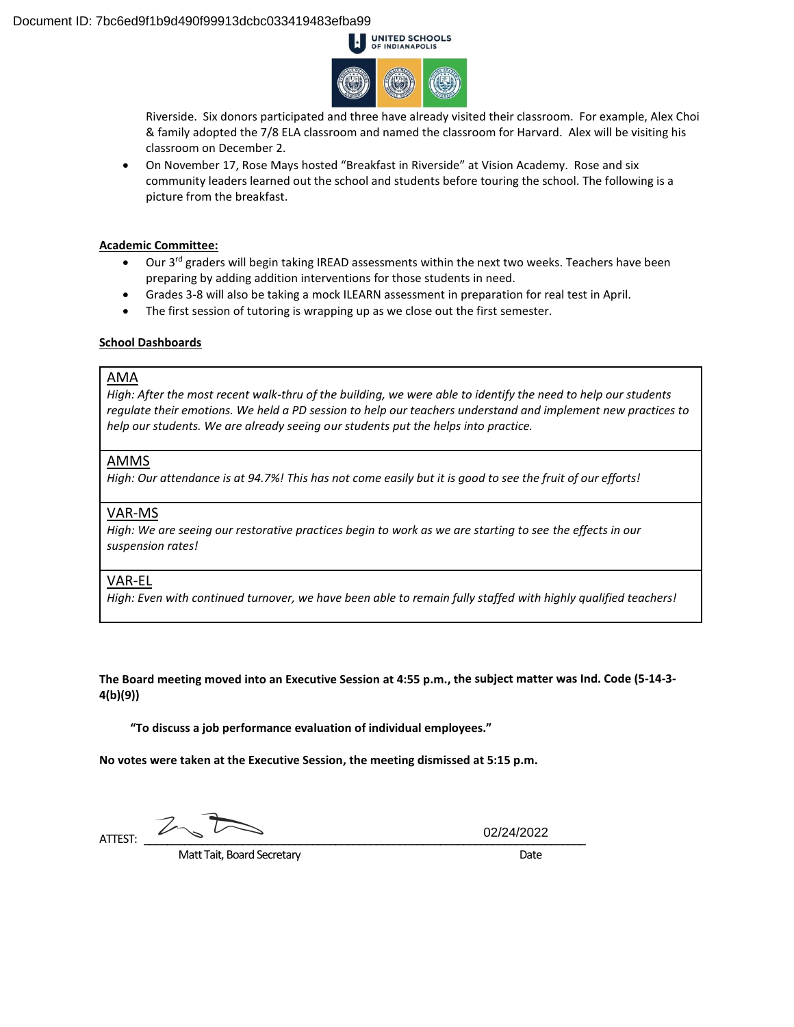

Riverside. Six donors participated and three have already visited their classroom. For example, Alex Choi & family adopted the 7/8 ELA classroom and named the classroom for Harvard. Alex will be visiting his classroom on December 2.

 On November 17, Rose Mays hosted "Breakfast in Riverside" at Vision Academy. Rose and six community leaders learned out the school and students before touring the school. The following is a picture from the breakfast.

#### **Academic Committee:**

- Our 3<sup>rd</sup> graders will begin taking IREAD assessments within the next two weeks. Teachers have been preparing by adding addition interventions for those students in need.
- Grades 3-8 will also be taking a mock ILEARN assessment in preparation for real test in April.
- The first session of tutoring is wrapping up as we close out the first semester.

#### **School Dashboards**

### AMA

*High: After the most recent walk-thru of the building, we were able to identify the need to help our students regulate their emotions. We held a PD session to help our teachers understand and implement new practices to help our students. We are already seeing our students put the helps into practice.* 

# AMMS

*High: Our attendance is at 94.7%! This has not come easily but it is good to see the fruit of our efforts!* 

# VAR-MS

*High: We are seeing our restorative practices begin to work as we are starting to see the effects in our suspension rates!* 

# VAR-EL

*High: Even with continued turnover, we have been able to remain fully staffed with highly qualified teachers!* 

**The Board meeting moved into an Executive Session at 4:55 p.m., the subject matter was Ind. Code (5-14-3- 4(b)(9))**

**"To discuss a job performance evaluation of individual employees."**

**No votes were taken at the Executive Session, the meeting dismissed at 5:15 p.m.** 

ATTEST:  $\overline{\phantom{a}}$ 

02/24/2022

Matt Tait, Board Secretary **Date**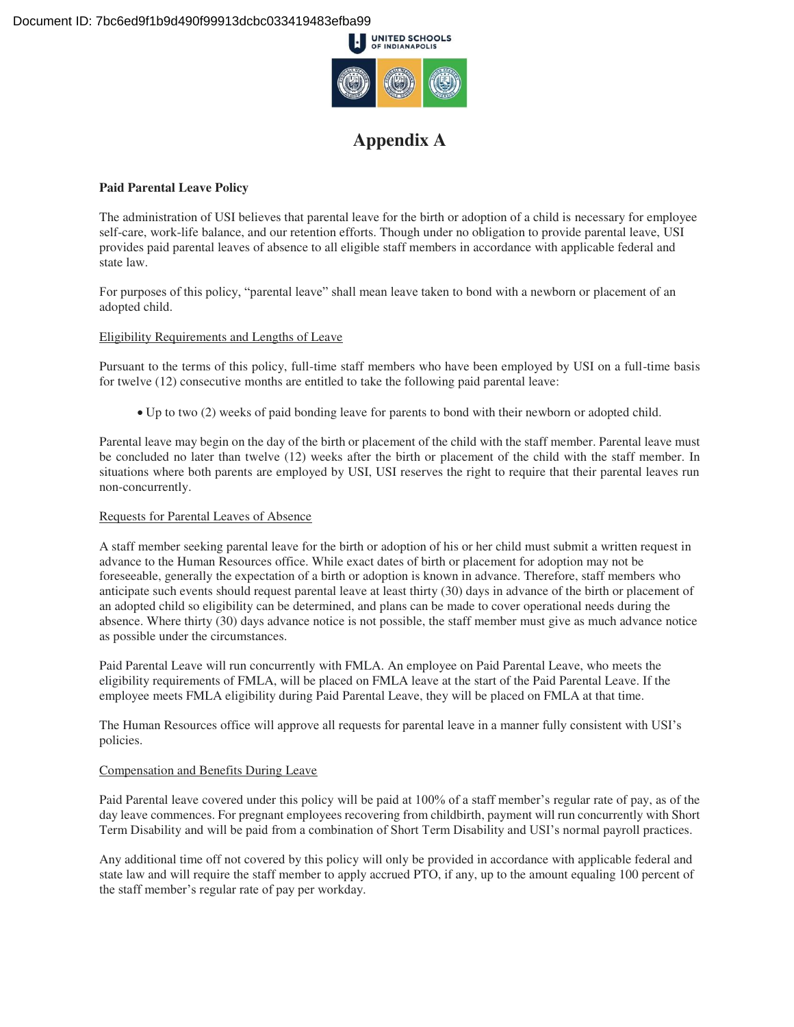

# **Appendix A**

# **Paid Parental Leave Policy**

The administration of USI believes that parental leave for the birth or adoption of a child is necessary for employee self-care, work-life balance, and our retention efforts. Though under no obligation to provide parental leave, USI provides paid parental leaves of absence to all eligible staff members in accordance with applicable federal and state law.

For purposes of this policy, "parental leave" shall mean leave taken to bond with a newborn or placement of an adopted child.

# Eligibility Requirements and Lengths of Leave

Pursuant to the terms of this policy, full-time staff members who have been employed by USI on a full-time basis for twelve (12) consecutive months are entitled to take the following paid parental leave:

Up to two (2) weeks of paid bonding leave for parents to bond with their newborn or adopted child.

Parental leave may begin on the day of the birth or placement of the child with the staff member. Parental leave must be concluded no later than twelve (12) weeks after the birth or placement of the child with the staff member. In situations where both parents are employed by USI, USI reserves the right to require that their parental leaves run non-concurrently.

### Requests for Parental Leaves of Absence

A staff member seeking parental leave for the birth or adoption of his or her child must submit a written request in advance to the Human Resources office. While exact dates of birth or placement for adoption may not be foreseeable, generally the expectation of a birth or adoption is known in advance. Therefore, staff members who anticipate such events should request parental leave at least thirty (30) days in advance of the birth or placement of an adopted child so eligibility can be determined, and plans can be made to cover operational needs during the absence. Where thirty (30) days advance notice is not possible, the staff member must give as much advance notice as possible under the circumstances.

Paid Parental Leave will run concurrently with FMLA. An employee on Paid Parental Leave, who meets the eligibility requirements of FMLA, will be placed on FMLA leave at the start of the Paid Parental Leave. If the employee meets FMLA eligibility during Paid Parental Leave, they will be placed on FMLA at that time.

The Human Resources office will approve all requests for parental leave in a manner fully consistent with USI's policies.

# Compensation and Benefits During Leave

Paid Parental leave covered under this policy will be paid at 100% of a staff member's regular rate of pay, as of the day leave commences. For pregnant employees recovering from childbirth, payment will run concurrently with Short Term Disability and will be paid from a combination of Short Term Disability and USI's normal payroll practices.

Any additional time off not covered by this policy will only be provided in accordance with applicable federal and state law and will require the staff member to apply accrued PTO, if any, up to the amount equaling 100 percent of the staff member's regular rate of pay per workday.